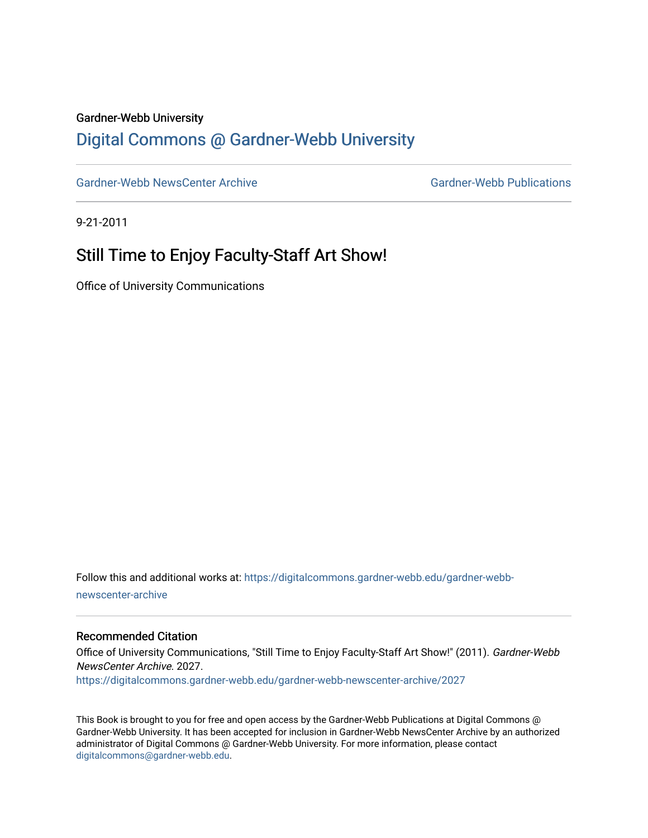#### Gardner-Webb University

### [Digital Commons @ Gardner-Webb University](https://digitalcommons.gardner-webb.edu/)

[Gardner-Webb NewsCenter Archive](https://digitalcommons.gardner-webb.edu/gardner-webb-newscenter-archive) Gardner-Webb Publications

9-21-2011

## Still Time to Enjoy Faculty-Staff Art Show!

Office of University Communications

Follow this and additional works at: [https://digitalcommons.gardner-webb.edu/gardner-webb](https://digitalcommons.gardner-webb.edu/gardner-webb-newscenter-archive?utm_source=digitalcommons.gardner-webb.edu%2Fgardner-webb-newscenter-archive%2F2027&utm_medium=PDF&utm_campaign=PDFCoverPages)[newscenter-archive](https://digitalcommons.gardner-webb.edu/gardner-webb-newscenter-archive?utm_source=digitalcommons.gardner-webb.edu%2Fgardner-webb-newscenter-archive%2F2027&utm_medium=PDF&utm_campaign=PDFCoverPages)

#### Recommended Citation

Office of University Communications, "Still Time to Enjoy Faculty-Staff Art Show!" (2011). Gardner-Webb NewsCenter Archive. 2027. [https://digitalcommons.gardner-webb.edu/gardner-webb-newscenter-archive/2027](https://digitalcommons.gardner-webb.edu/gardner-webb-newscenter-archive/2027?utm_source=digitalcommons.gardner-webb.edu%2Fgardner-webb-newscenter-archive%2F2027&utm_medium=PDF&utm_campaign=PDFCoverPages) 

This Book is brought to you for free and open access by the Gardner-Webb Publications at Digital Commons @ Gardner-Webb University. It has been accepted for inclusion in Gardner-Webb NewsCenter Archive by an authorized administrator of Digital Commons @ Gardner-Webb University. For more information, please contact [digitalcommons@gardner-webb.edu](mailto:digitalcommons@gardner-webb.edu).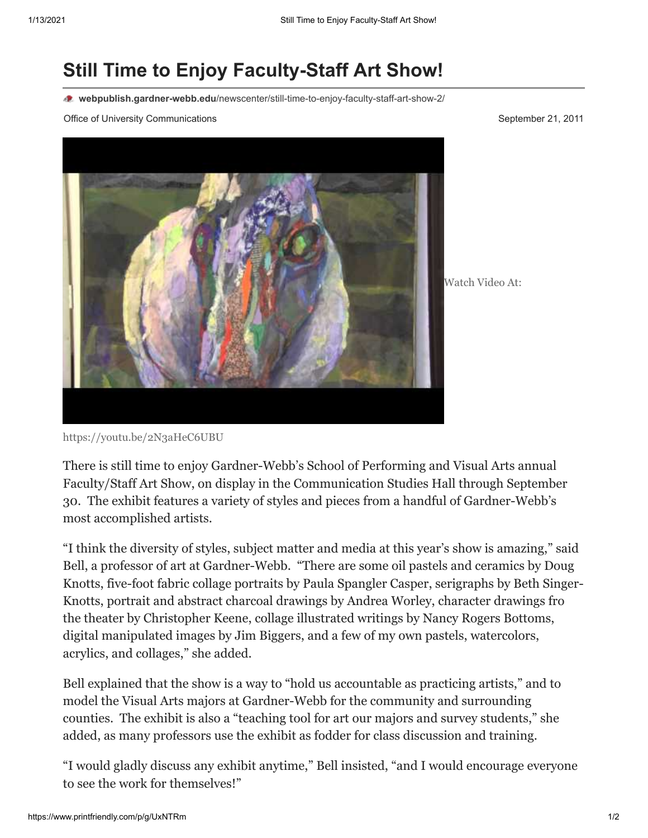# **Still Time to Enjoy Faculty-Staff Art Show!**

**webpublish.gardner-webb.edu**[/newscenter/still-time-to-enjoy-faculty-staff-art-show-2/](https://webpublish.gardner-webb.edu/newscenter/still-time-to-enjoy-faculty-staff-art-show-2/)

Office of University Communications **September 21, 2011** September 21, 2011



Watch Video At:

<https://youtu.be/2N3aHeC6UBU>

There is still time to enjoy Gardner-Webb's School of Performing and Visual Arts annual Faculty/Staff Art Show, on display in the Communication Studies Hall through September 30. The exhibit features a variety of styles and pieces from a handful of Gardner-Webb's most accomplished artists.

"I think the diversity of styles, subject matter and media at this year's show is amazing," said Bell, a professor of art at Gardner-Webb. "There are some oil pastels and ceramics by Doug Knotts, five-foot fabric collage portraits by Paula Spangler Casper, serigraphs by Beth Singer-Knotts, portrait and abstract charcoal drawings by Andrea Worley, character drawings fro the theater by Christopher Keene, collage illustrated writings by Nancy Rogers Bottoms, digital manipulated images by Jim Biggers, and a few of my own pastels, watercolors, acrylics, and collages," she added.

Bell explained that the show is a way to "hold us accountable as practicing artists," and to model the Visual Arts majors at Gardner-Webb for the community and surrounding counties. The exhibit is also a "teaching tool for art our majors and survey students," she added, as many professors use the exhibit as fodder for class discussion and training.

"I would gladly discuss any exhibit anytime," Bell insisted, "and I would encourage everyone to see the work for themselves!"